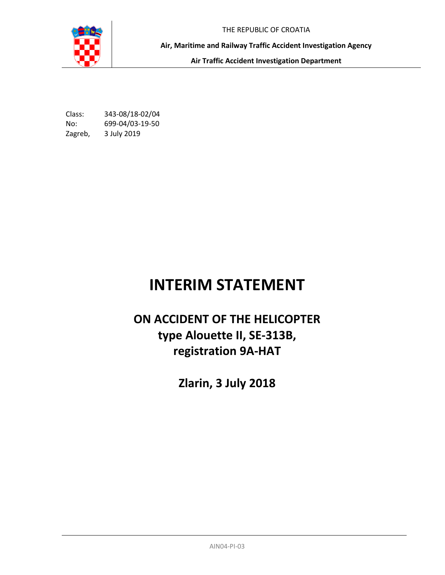THE REPUBLIC OF CROATIA

**Air, Maritime and Railway Traffic Accident Investigation Agency** 

**Air Traffic Accident Investigation Department**

Class: 343-08/18-02/04 No: 699-04/03-19-50 Zagreb, 3 July 2019

# **INTERIM STATEMENT**

# **ON ACCIDENT OF THE HELICOPTER type Alouette II, SE-313B, registration 9A-HAT**

**Zlarin, 3 July 2018**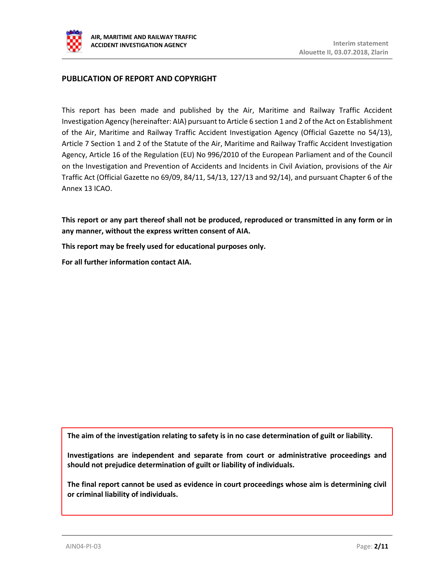

# **PUBLICATION OF REPORT AND COPYRIGHT**

This report has been made and published by the Air, Maritime and Railway Traffic Accident Investigation Agency (hereinafter: AIA) pursuant to Article 6 section 1 and 2 of the Act on Establishment of the Air, Maritime and Railway Traffic Accident Investigation Agency (Official Gazette no 54/13), Article 7 Section 1 and 2 of the Statute of the Air, Maritime and Railway Traffic Accident Investigation Agency, Article 16 of the Regulation (EU) No 996/2010 of the European Parliament and of the Council on the Investigation and Prevention of Accidents and Incidents in Civil Aviation, provisions of the Air Traffic Act (Official Gazette no 69/09, 84/11, 54/13, 127/13 and 92/14), and pursuant Chapter 6 of the Annex 13 ICAO.

**This report or any part thereof shall not be produced, reproduced or transmitted in any form or in any manner, without the express written consent of AIA.**

**This report may be freely used for educational purposes only.**

**For all further information contact AIA.**

**The aim of the investigation relating to safety is in no case determination of guilt or liability.**

**Investigations are independent and separate from court or administrative proceedings and should not prejudice determination of guilt or liability of individuals.**

**The final report cannot be used as evidence in court proceedings whose aim is determining civil or criminal liability of individuals.**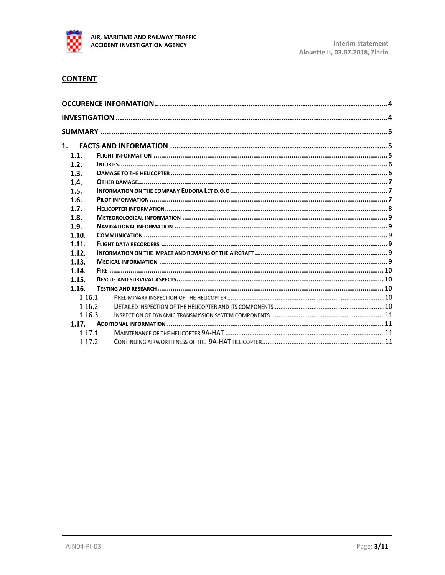

# **CONTENT**

| 1.      |  |  |  |  |
|---------|--|--|--|--|
| 1.1.    |  |  |  |  |
| 1.2.    |  |  |  |  |
| 1.3.    |  |  |  |  |
| 1.4.    |  |  |  |  |
| 1.5.    |  |  |  |  |
| 1.6.    |  |  |  |  |
| 1.7.    |  |  |  |  |
| 1.8.    |  |  |  |  |
| 1.9.    |  |  |  |  |
| 1.10.   |  |  |  |  |
| 1.11.   |  |  |  |  |
| 1.12.   |  |  |  |  |
| 1.13.   |  |  |  |  |
| 1.14.   |  |  |  |  |
| 1.15.   |  |  |  |  |
| 1.16.   |  |  |  |  |
| 1.16.1. |  |  |  |  |
| 1.16.2. |  |  |  |  |
| 1.16.3. |  |  |  |  |
| 1.17.   |  |  |  |  |
| 1.17.1. |  |  |  |  |
| 1.17.2. |  |  |  |  |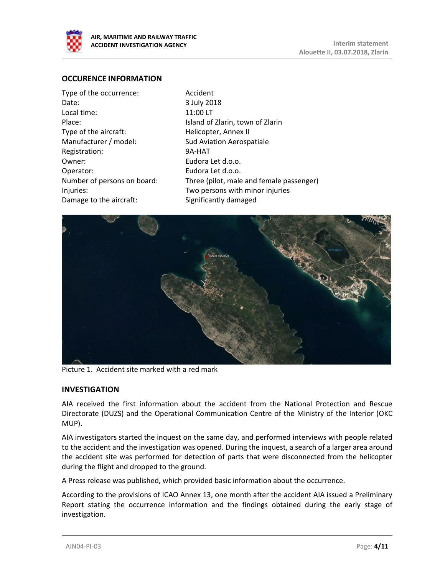

## <span id="page-3-0"></span>**OCCURENCE INFORMATION**

Accident 3 July 2018 11:00 LT Island of Zlarin, town of Zlarin Helicopter, Annex II Sud Aviation Aerospatiale 9A-HAT Eudora Let d.o.o. Eudora Let d.o.o. Three (pilot, male and female passenger) Two persons with minor injuries Significantly damaged



Picture 1. Accident site marked with a red mark

### <span id="page-3-1"></span>**INVESTIGATION**

AIA received the first information about the accident from the National Protection and Rescue Directorate (DUZS) and the Operational Communication Centre of the Ministry of the Interior (OKC MUP).

AIA investigators started the inquest on the same day, and performed interviews with people related to the accident and the investigation was opened. During the inquest, a search of a larger area around the accident site was performed for detection of parts that were disconnected from the helicopter during the flight and dropped to the ground.

A Press release was published, which provided basic information about the occurrence.

According to the provisions of ICAO Annex 13, one month after the accident AIA issued a Preliminary Report stating the occurrence information and the findings obtained during the early stage of investigation.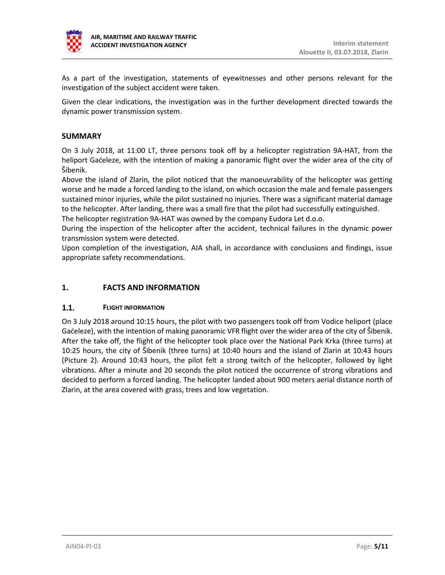

As a part of the investigation, statements of eyewitnesses and other persons relevant for the investigation of the subject accident were taken.

Given the clear indications, the investigation was in the further development directed towards the dynamic power transmission system.

# <span id="page-4-0"></span>**SUMMARY**

On 3 July 2018, at 11:00 LT, three persons took off by a helicopter registration 9A-HAT, from the heliport Gaćeleze, with the intention of making a panoramic flight over the wider area of the city of Šibenik.

Above the island of Zlarin, the pilot noticed that the manoeuvrability of the helicopter was getting worse and he made a forced landing to the island, on which occasion the male and female passengers sustained minor injuries, while the pilot sustained no injuries. There was a significant material damage to the helicopter. After landing, there was a small fire that the pilot had successfully extinguished.

The helicopter registration 9A-HAT was owned by the company Eudora Let d.o.o.

During the inspection of the helicopter after the accident, technical failures in the dynamic power transmission system were detected.

Upon completion of the investigation, AIA shall, in accordance with conclusions and findings, issue appropriate safety recommendations.

# <span id="page-4-1"></span>**1. FACTS AND INFORMATION**

#### <span id="page-4-2"></span> $1.1.$ **FLIGHT INFORMATION**

On 3 July 2018 around 10:15 hours, the pilot with two passengers took off from Vodice heliport (place Gaćeleze), with the intention of making panoramic VFR flight over the wider area of the city of Šibenik. After the take off, the flight of the helicopter took place over the National Park Krka (three turns) at 10:25 hours, the city of Šibenik (three turns) at 10:40 hours and the island of Zlarin at 10:43 hours (Picture 2). Around 10:43 hours, the pilot felt a strong twitch of the helicopter, followed by light vibrations. After a minute and 20 seconds the pilot noticed the occurrence of strong vibrations and decided to perform a forced landing. The helicopter landed about 900 meters aerial distance north of Zlarin, at the area covered with grass, trees and low vegetation.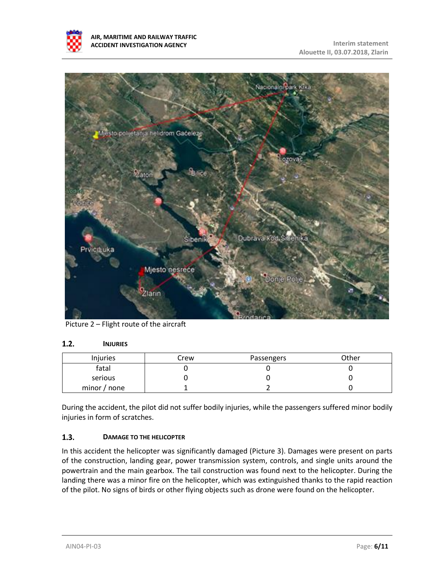



Picture 2 – Flight route of the aircraft

#### <span id="page-5-0"></span> $1.2.$ **INJURIES**

| <b>Injuries</b> | Crew | Passengers | Other |
|-----------------|------|------------|-------|
| fatal           |      |            |       |
| serious         |      |            |       |
| minor / none    |      |            |       |

During the accident, the pilot did not suffer bodily injuries, while the passengers suffered minor bodily injuries in form of scratches.

#### <span id="page-5-1"></span> $1.3.$ **DAMAGE TO THE HELICOPTER**

In this accident the helicopter was significantly damaged (Picture 3). Damages were present on parts of the construction, landing gear, power transmission system, controls, and single units around the powertrain and the main gearbox. The tail construction was found next to the helicopter. During the landing there was a minor fire on the helicopter, which was extinguished thanks to the rapid reaction of the pilot. No signs of birds or other flying objects such as drone were found on the helicopter.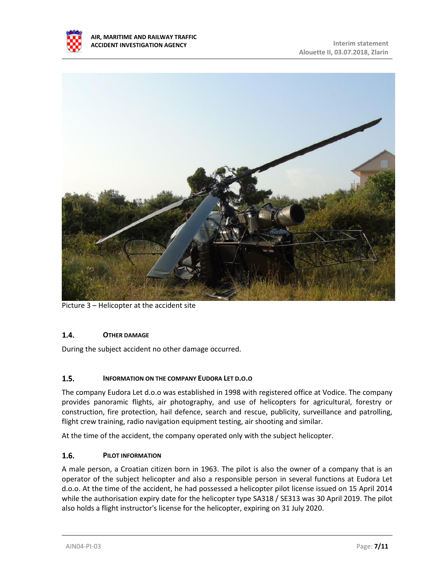



Picture 3 – Helicopter at the accident site

#### <span id="page-6-0"></span> $1.4.$ **OTHER DAMAGE**

During the subject accident no other damage occurred.

#### <span id="page-6-1"></span> $1.5.$ **INFORMATION ON THE COMPANY EUDORA LET D.O.O**

The company Eudora Let d.o.o was established in 1998 with registered office at Vodice. The company provides panoramic flights, air photography, and use of helicopters for agricultural, forestry or construction, fire protection, hail defence, search and rescue, publicity, surveillance and patrolling, flight crew training, radio navigation equipment testing, air shooting and similar.

At the time of the accident, the company operated only with the subject helicopter.

#### <span id="page-6-2"></span> $1.6.$ **PILOT INFORMATION**

A male person, a Croatian citizen born in 1963. The pilot is also the owner of a company that is an operator of the subject helicopter and also a responsible person in several functions at Eudora Let d.o.o. At the time of the accident, he had possessed a helicopter pilot license issued on 15 April 2014 while the authorisation expiry date for the helicopter type SA318 / SE313 was 30 April 2019. The pilot also holds a flight instructor's license for the helicopter, expiring on 31 July 2020.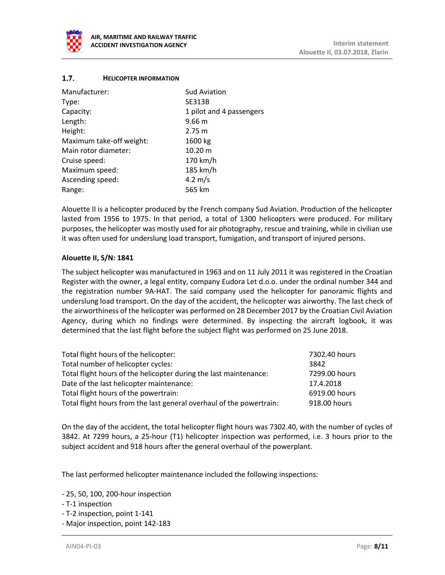

#### <span id="page-7-0"></span> $1.7.$ **HELICOPTER INFORMATION**

| Manufacturer:            | <b>Sud Aviation</b>      |
|--------------------------|--------------------------|
| Type:                    | <b>SE313B</b>            |
| Capacity:                | 1 pilot and 4 passengers |
| Length:                  | 9.66 <sub>m</sub>        |
| Height:                  | 2.75 m                   |
| Maximum take-off weight: | 1600 kg                  |
| Main rotor diameter:     | $10.20 \text{ m}$        |
| Cruise speed:            | 170 km/h                 |
| Maximum speed:           | 185 km/h                 |
| Ascending speed:         | 4.2 $m/s$                |
| Range:                   | 565 km                   |

Alouette II is a helicopter produced by the French company Sud Aviation. Production of the helicopter lasted from 1956 to 1975. In that period, a total of 1300 helicopters were produced. For military purposes, the helicopter was mostly used for air photography, rescue and training, while in civilian use it was often used for underslung load transport, fumigation, and transport of injured persons.

## **Alouette II, S/N: 1841**

The subject helicopter was manufactured in 1963 and on 11 July 2011 it was registered in the Croatian Register with the owner, a legal entity, company Eudora Let d.o.o. under the ordinal number 344 and the registration number 9A-HAT. The said company used the helicopter for panoramic flights and underslung load transport. On the day of the accident, the helicopter was airworthy. The last check of the airworthiness of the helicopter was performed on 28 December 2017 by the Croatian Civil Aviation Agency, during which no findings were determined. By inspecting the aircraft logbook, it was determined that the last flight before the subject flight was performed on 25 June 2018.

| Total flight hours of the helicopter:                                | 7302.40 hours |
|----------------------------------------------------------------------|---------------|
| Total number of helicopter cycles:                                   | 3842          |
| Total flight hours of the helicopter during the last maintenance:    | 7299.00 hours |
| Date of the last helicopter maintenance:                             | 17.4.2018     |
| Total flight hours of the powertrain:                                | 6919.00 hours |
| Total flight hours from the last general overhaul of the powertrain: | 918.00 hours  |

On the day of the accident, the total helicopter flight hours was 7302.40, with the number of cycles of 3842. At 7299 hours, a 25-hour (T1) helicopter inspection was performed, i.e. 3 hours prior to the subject accident and 918 hours after the general overhaul of the powerplant.

The last performed helicopter maintenance included the following inspections:

- 25, 50, 100, 200-hour inspection
- T-1 inspection
- T-2 inspection, point 1-141
- Major inspection, point 142-183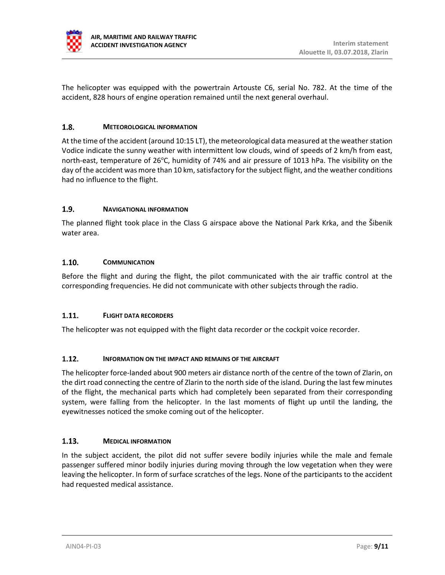

The helicopter was equipped with the powertrain Artouste C6, serial No. 782. At the time of the accident, 828 hours of engine operation remained until the next general overhaul.

#### <span id="page-8-0"></span> $1.8.$ **METEOROLOGICAL INFORMATION**

At the time of the accident (around 10:15 LT), the meteorological data measured at the weather station Vodice indicate the sunny weather with intermittent low clouds, wind of speeds of 2 km/h from east, north-east, temperature of 26 $\degree$ C, humidity of 74% and air pressure of 1013 hPa. The visibility on the day of the accident was more than 10 km, satisfactory for the subject flight, and the weather conditions had no influence to the flight.

#### <span id="page-8-1"></span> $1.9.$ **NAVIGATIONAL INFORMATION**

The planned flight took place in the Class G airspace above the National Park Krka, and the Šibenik water area.

#### <span id="page-8-2"></span> $1.10.$ **COMMUNICATION**

Before the flight and during the flight, the pilot communicated with the air traffic control at the corresponding frequencies. He did not communicate with other subjects through the radio.

#### <span id="page-8-3"></span> $1.11.$ **FLIGHT DATA RECORDERS**

The helicopter was not equipped with the flight data recorder or the cockpit voice recorder.

#### <span id="page-8-4"></span> $1.12.$ **INFORMATION ON THE IMPACT AND REMAINS OF THE AIRCRAFT**

The helicopter force-landed about 900 meters air distance north of the centre of the town of Zlarin, on the dirt road connecting the centre of Zlarin to the north side of the island. During the last few minutes of the flight, the mechanical parts which had completely been separated from their corresponding system, were falling from the helicopter. In the last moments of flight up until the landing, the eyewitnesses noticed the smoke coming out of the helicopter.

#### <span id="page-8-5"></span> $1.13.$ **MEDICAL INFORMATION**

In the subject accident, the pilot did not suffer severe bodily injuries while the male and female passenger suffered minor bodily injuries during moving through the low vegetation when they were leaving the helicopter. In form of surface scratches of the legs. None of the participants to the accident had requested medical assistance.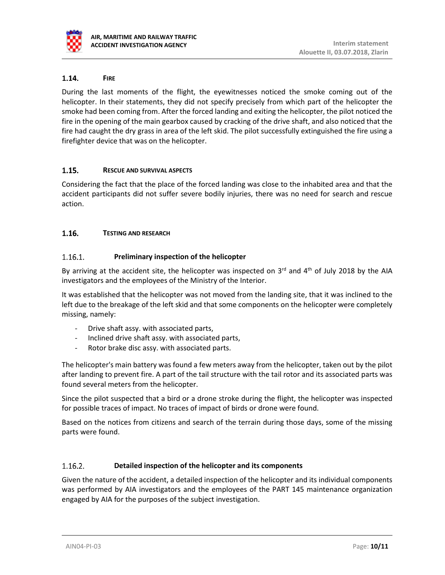

#### <span id="page-9-0"></span> $1.14.$ **FIRE**

During the last moments of the flight, the eyewitnesses noticed the smoke coming out of the helicopter. In their statements, they did not specify precisely from which part of the helicopter the smoke had been coming from. After the forced landing and exiting the helicopter, the pilot noticed the fire in the opening of the main gearbox caused by cracking of the drive shaft, and also noticed that the fire had caught the dry grass in area of the left skid. The pilot successfully extinguished the fire using a firefighter device that was on the helicopter.

#### <span id="page-9-1"></span> $1.15.$ **RESCUE AND SURVIVAL ASPECTS**

Considering the fact that the place of the forced landing was close to the inhabited area and that the accident participants did not suffer severe bodily injuries, there was no need for search and rescue action.

#### <span id="page-9-2"></span> $1.16.$ **TESTING AND RESEARCH**

#### $1.16.1.$ **Preliminary inspection of the helicopter**

By arriving at the accident site, the helicopter was inspected on  $3<sup>rd</sup>$  and  $4<sup>th</sup>$  of July 2018 by the AIA investigators and the employees of the Ministry of the Interior.

It was established that the helicopter was not moved from the landing site, that it was inclined to the left due to the breakage of the left skid and that some components on the helicopter were completely missing, namely:

- Drive shaft assy. with associated parts,
- Inclined drive shaft assy. with associated parts,
- Rotor brake disc assy. with associated parts.

The helicopter's main battery was found a few meters away from the helicopter, taken out by the pilot after landing to prevent fire. A part of the tail structure with the tail rotor and its associated parts was found several meters from the helicopter.

Since the pilot suspected that a bird or a drone stroke during the flight, the helicopter was inspected for possible traces of impact. No traces of impact of birds or drone were found.

Based on the notices from citizens and search of the terrain during those days, some of the missing parts were found.

#### $1.16.2.$ **Detailed inspection of the helicopter and its components**

Given the nature of the accident, a detailed inspection of the helicopter and its individual components was performed by AIA investigators and the employees of the PART 145 maintenance organization engaged by AIA for the purposes of the subject investigation.